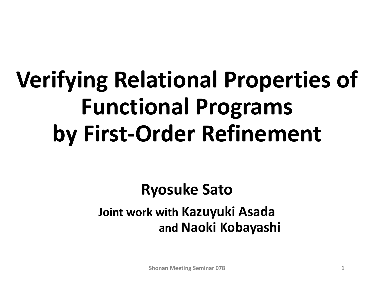# **Verifying Relational Properties of Functional Programs by First-Order Refinement**

#### **Ryosuke Sato**

#### **Joint work with Kazuyuki Asada and Naoki Kobayashi**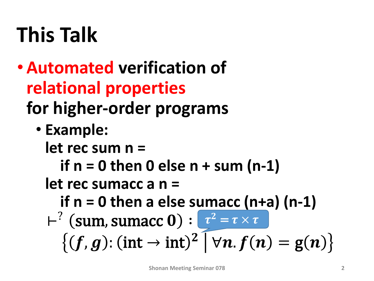## **This Talk**

- •**Automated verification of relational properties for higher-order programs**
	- **Example:**
		- **let rec sum n =**
			- **if n = 0 then 0 else n + sum (n-1)**
		- **let rec sumacc a n =**

**if n = 0 then a else sumacc (n+a) (n-1)**

$$
\vdash^{?} (\text{sum, sumacc 0}) : \boxed{\tau^2 = \tau \times \tau} \n\{(f, g) : (\text{int} \rightarrow \text{int})^2 \mid \forall n. f(n) = g(n)\}
$$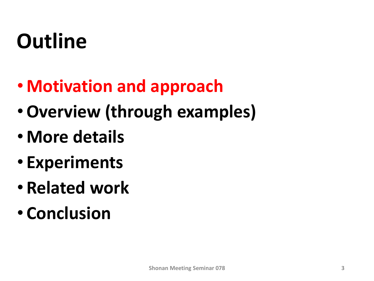# **Outline**

- **Motivation and approach**
- •**Overview (through examples)**
- **More details**
- **Experiments**
- **Related work**
- **Conclusion**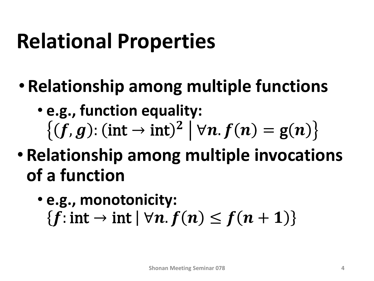# **Relational Properties**

- **Relationship among multiple functions**
	- **e.g., function equality:**   $\{(f,g): (\text{int} \rightarrow \text{int})^2 \mid \forall n. f(n) = g(n)\}\$
- **Relationship among multiple invocations of a function**
	- **e.g., monotonicity:**  ${f: \text{int} \rightarrow \text{int} \mid \forall n. f(n) \leq f(n+1)}$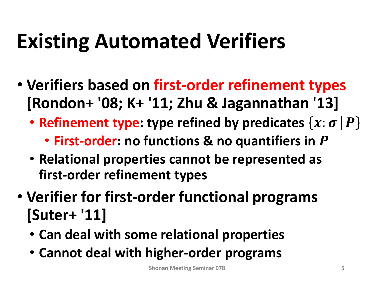# **Existing Automated Verifiers**

- **Verifiers based on first-order refinement types [Rondon+ '08; K+ '11; Zhu & Jagannathan '13]**
	- **Refinement type: type refined by predicates**  $\{x: \sigma | P\}$ • **First-order: no functions & no quantifiers in**
	- **Relational properties cannot be represented as first-order refinement types**
- **Verifier for first-order functional programs [Suter+ '11]**
	- **Can deal with some relational properties**
	- **Cannot deal with higher-order programs**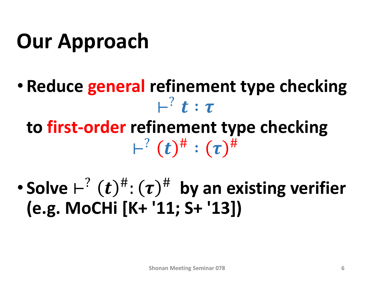## **Our Approach**

- **Reduce general refinement type checking**  $\vdash^? t : \tau$ **to first-order refinement type checking**  $\vdash^? (t)^\# : (\tau)^\#$
- Solve  $\vdash^? (t)^\#$ :  $(\tau)^\#$  by an existing verifier **(e.g. MoCHi [K+ '11; S+ '13])**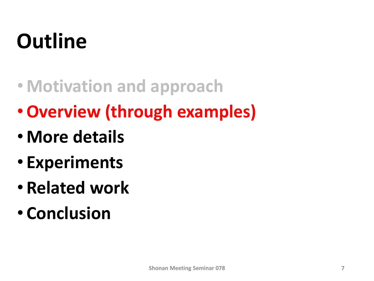# **Outline**

- **Motivation and approach**
- •**Overview (through examples)**
- **More details**
- **Experiments**
- **Related work**
- **Conclusion**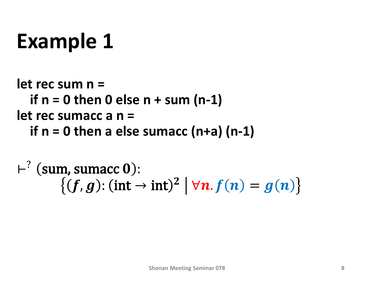#### **Example 1**

**let rec sum n = if n = 0 then 0 else n + sum (n-1) let rec sumacc a n = if n = 0 then a else sumacc (n+a) (n-1)**

#### $\vdash^?$  (sum, sumacc 0):  $\{(f,g): (\text{int} \rightarrow \text{int})^2 \mid \forall n. f(n) = g(n)\}\$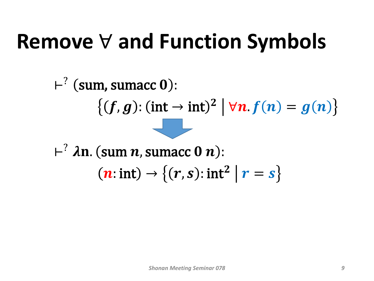#### **Remove** ∀ **and Function Symbols**

 $\vdash^?$  (sum, sumacc 0):  $\{(f,g): (\text{int} \rightarrow \text{int})^2 \mid \forall n. f(n) = g(n)\}\$  $\vdash^? \lambda n.$  (sum n, sumacc 0 n):  $(n: \text{int}) \rightarrow \{ (r, s): \text{int}^2 | r = s \}$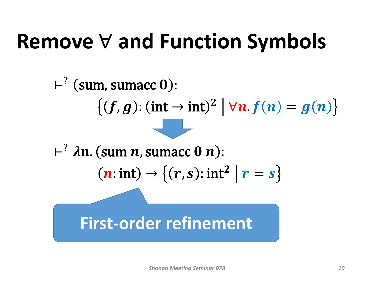#### **Remove** ∀ **and Function Symbols**

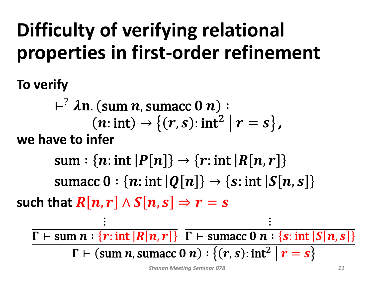#### **Difficulty of verifying relational properties in first-order refinement**

**To verify**

$$
\vdash^? \lambda \mathbf{n}. (\text{sum } n, \text{sumacc } 0 \ n): \\
 (n: \text{int}) \to \{ (r, s): \text{int}^2 \mid r = s \},
$$
\nwe have to infer

sum :  $\{n: \text{int } |P[n]\} \rightarrow \{r: \text{int } |R[n,r]\}$ sumacc  $0: \{n: \text{int } |Q[n]\} \rightarrow \{s: \text{int } |S[n,s]\}$ such that  $R[n, r] \wedge S[n, s] \Rightarrow r = s$ 

 $\ddot{\cdot}$ 

 $\Gamma\vdash$  sum  $n:\{r:\text{int}\,|R[n,r]\}\;\;\Gamma\vdash$  sumacc  $0$   $n:\{s:\text{int}\,|S[n,s]\}$  $\Gamma \vdash (\text{sum } n, \text{sumacc } 0 \ n) : \{ (r, s) : \text{int}^2 \mid r = s \}$ 

 $\ddot{\cdot}$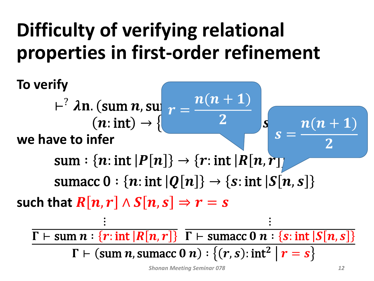#### **Difficulty of verifying relational properties in first-order refinement**

**To verify**  $\vdash^? \lambda$ n. (sum *n*, su $\begin{bmatrix} r = \frac{n(n+1)}{2} \end{bmatrix}$  $(n: \text{int}) \rightarrow \{$ **we have to infer** sum :  $\{n: \text{int } |P[n]\} \rightarrow \{r: \text{int } |R[n,r]\}$ sumacc  $0: \{n: \text{int } |Q[n]\} \rightarrow \{s: \text{int } |S[n,s]\}$ such that  $R[n, r] \wedge S[n, s] \Rightarrow r = s$  $\ddot{\cdot}$  $\ddot{\cdot}$  $n(n + 1)$ 2  $s =$  $n(n + 1)$ 2

 $\Gamma\vdash$  sum  $n:\{r:\text{int}\,|R[n,r]\}\;\;\Gamma\vdash$  sumacc  $0$   $n:\{s:\text{int}\,|S[n,s]\}$  $\Gamma$   $\vdash$  (sum *n*, sumacc 0 *n*) : { $(r, s)$ : int<sup>2</sup> |  $r = s$ }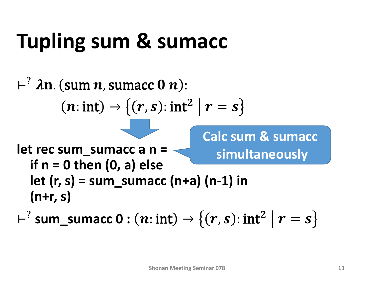$\vdash^? \lambda n.$  (sum n, sumacc 0 n):  $(n: \text{int}) \to \{ (r, s) : \text{int}^2 | r = s \}$ **let rec sum\_sumacc a n = if n = 0 then (0, a) else let (r, s) = sum\_sumacc (n+a) (n-1) in (n+r, s)**  $\vdash^?$  sum\_sumacc 0 :  $(n: \text{int}) → {(r, s): \text{int}^2 | r = s}$ **Calc sum & sumacc simultaneously**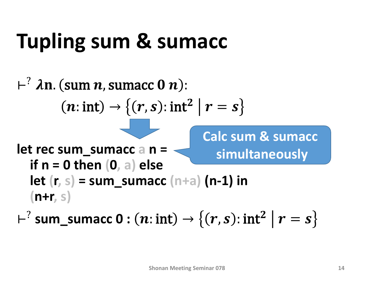$\vdash^? \lambda n.$  (sum n, sumacc 0 n):  $(n: \text{int}) \to \{ (r, s) : \text{int}^2 | r = s \}$ **let rec sum\_sumacc a n = if n = 0 then (0, a) else let**  $(r, s) =$  sum sumacc  $(n+a)$   $(n-1)$  in **(n+r, s)**  $\vdash^?$  sum\_sumacc 0 :  $(n: \text{int}) → {(r, s): \text{int}^2 | r = s}$ **Calc sum & sumacc simultaneously**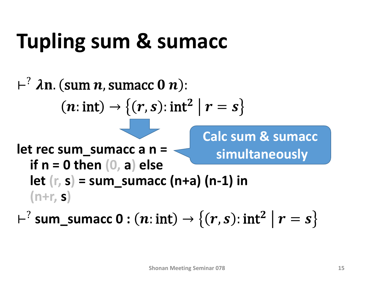$\vdash^? \lambda n.$  (sum n, sumacc 0 n):  $(n: \text{int}) \to \{ (r, s) : \text{int}^2 | r = s \}$ **let rec sum\_sumacc a n = if n = 0 then (0, a) else let (r, s) = sum\_sumacc (n+a) (n-1) in (n+r, s)**  $\vdash^?$  sum\_sumacc 0 :  $(n: \text{int}) → {(r, s): \text{int}^2 | r = s}$ **Calc sum & sumacc simultaneously**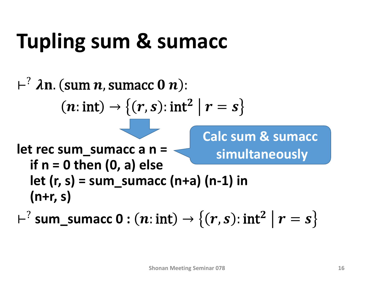$\vdash^? \lambda n.$  (sum n, sumacc 0 n):  $(n: \text{int}) \to \{ (r, s) : \text{int}^2 | r = s \}$ **let rec sum\_sumacc a n = if n = 0 then (0, a) else let (r, s) = sum\_sumacc (n+a) (n-1) in (n+r, s)**  $\vdash^?$  sum\_sumacc 0 :  $(n: \text{int}) → {(r, s): \text{int}^2 | r = s}$ **Calc sum & sumacc simultaneously**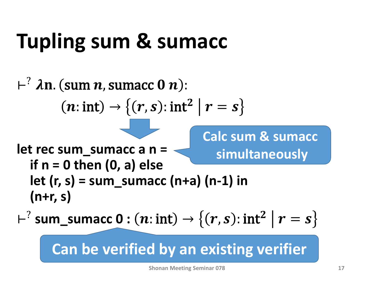$\vdash^? \lambda n.$  (sum n, sumacc 0 n):  $(n: \text{int}) \to \{ (r, s) : \text{int}^2 | r = s \}$ **let rec sum\_sumacc a n = if n = 0 then (0, a) else let (r, s) = sum\_sumacc (n+a) (n-1) in (n+r, s)**  $\vdash^?$  sum\_sumacc 0 :  $(n: \text{int}) → {(r, s): \text{int}^2 | r = s}$ **Calc sum & sumacc simultaneously**

**Can be verified by an existing verifier**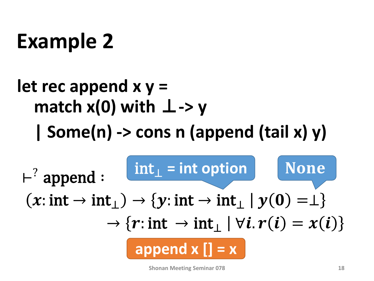#### **Example 2**

let rec append x y =  
\nmatch x(0) with 
$$
\perp
$$
->y  
\n| Some(n) -> cons n (append (tail x) y)  
\n  
\n $\vdash^2$  append :  
\n $(x: \text{int} \rightarrow \text{int}_{\perp}) \rightarrow \{y: \text{int} \rightarrow \text{int}_{\perp} | y(0) = \perp \}$   
\n $\rightarrow \{r: \text{int} \rightarrow \text{int}_{\perp} | \forall i. r(i) = x(i) \}$   
\nappend x [] = x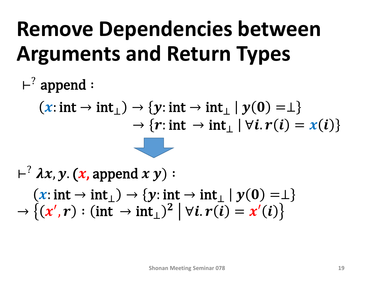## **Remove Dependencies between Arguments and Return Types**

- ⊢ ? append ∶  $(x: \text{int} \rightarrow \text{int}_{\perp}) \rightarrow \{y: \text{int} \rightarrow \text{int}_{\perp} | y(0) = \perp \}$  $\rightarrow \{r: \text{int} \rightarrow \text{int}_{\perp} | \forall i. r(i) = x(i) \}$  $\vdash^? \lambda x, y. (x, \text{append } x y)$ :
- $(x: \text{int} \rightarrow \text{int}_{\perp}) \rightarrow \{y: \text{int} \rightarrow \text{int}_{\perp} | y(0) = \perp \}$  $\rightarrow \big\{ (\pmb{x}',\pmb{r}): (\operatorname{int} \rightarrow \operatorname{int}_{\perp})^2 \ \big| \ \forall \pmb{i}.\ \pmb{r}(\pmb{i}) = \pmb{x}'(\pmb{i})$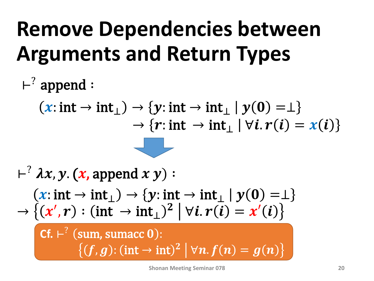## **Remove Dependencies between Arguments and Return Types**

$$
+^{?}
$$
 append :  
\n(*x*: int → int<sub>⊥</sub>) → {*y*: int → int<sub>⊥</sub> | *y*(0) =⊥}  
\n→ {*r*: int → int<sub>⊥</sub> | *∀i*.*r*(*i*) = *x*(*i*)}  
\n+<sup>?</sup> *λx*, *y*. (*x*, append *x y*) :  
\n(*x*: int → int<sub>⊥</sub>) → {*y*: int → int<sub>⊥</sub> | *y*(0) =⊥}  
\n→ {(*x'*, *r*) : (int → int<sub>⊥</sub>)<sup>2</sup> | *∀i*.*r*(*i*) = *x'*(*i*)}  
\nCf. +<sup>?</sup> (sum, sumacc 0):  
\n{(*f*, *g*): (int → int)<sup>2</sup> | *∀n*.*f*(*n*) = *g*(*n*)}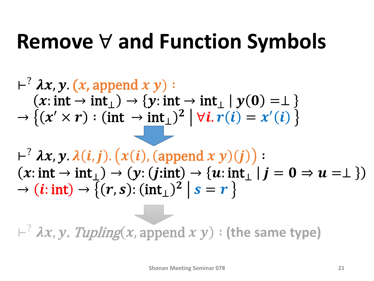#### **Remove** ∀ **and Function Symbols**

 $\vdash^? \lambda x, y \ (x, \text{append } x y)$ :  $(x: \text{int} \rightarrow \text{int}_{\perp}) \rightarrow \{y: \text{int} \rightarrow \text{int}_{\perp} | y(0) = \perp \}$  $\rightarrow \{ (x' \times r) : (\text{int} \rightarrow \text{int}_{\perp})^2 \mid \forall i. \overline{r}(i) = x'(i) \}$  $\vdash^? \lambda x, y \lambda(i, j)$ .  $(x(i), (append x y)(j))$ :  $(x: \text{int} \rightarrow \text{int}_{\perp}) \rightarrow (y: (j: \text{int}) \rightarrow \{u: \text{int}_{\perp} \mid j = 0 \Rightarrow u = \perp\})$  $\rightarrow (i:\text{int}) \rightarrow \overline{(r,s)}: (\text{int}_{\perp})^2 \mid s=r$  $\vdash^? \lambda x, y$ . Tupling(x, append x y) : (the same type)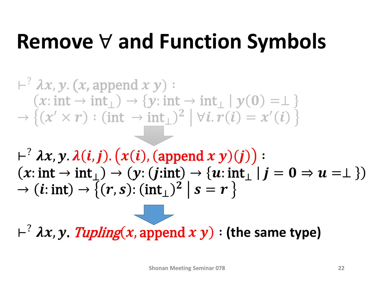## **Remove** ∀ **and Function Symbols**

 $\vdash^? \lambda x, y. (x, append x y)$ :  $(x: \text{int} \rightarrow \text{int}_{\perp}) \rightarrow \{y: \text{int} \rightarrow \text{int}_{\perp} | y(0) = \perp \}$  $\rightarrow \{ (x' \times r) : (\text{int} \rightarrow \text{int}_{\perp})^2 \mid \forall i. r(i) = x'(i) \}$  $\vdash^? \lambda x, y \lambda(i, j)$ .  $(x(i), (append x y)(j))$ :  $(x: \text{int} \rightarrow \text{int}_{\perp}) \rightarrow (y: (j: \text{int}) \rightarrow \{u: \text{int}_{\perp} \mid j = 0 \Rightarrow u = \perp\})$  $\rightarrow (i:\text{int}) \rightarrow \overline{(r,s)}: (\text{int}_{\perp})^2 \mid s = r$  $\vdash^? \lambda x, y$ . Tupling(x, append x y) : (the same type)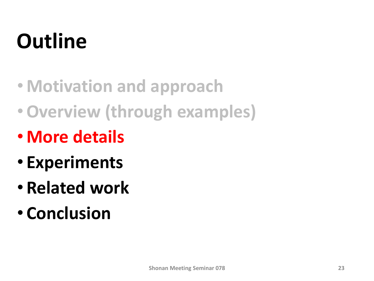# **Outline**

- **Motivation and approach**
- •**Overview (through examples)**
- **More details**
- **Experiments**
- **Related work**
- **Conclusion**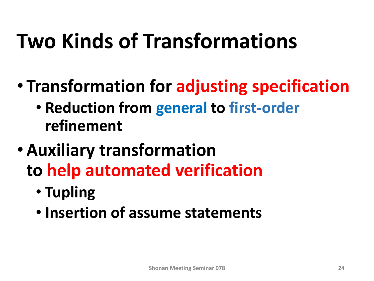## **Two Kinds of Transformations**

- **Transformation for adjusting specification**
	- **Reduction from general to first-order refinement**
- •**Auxiliary transformation to help automated verification**
	- **Tupling**
	- **Insertion of assume statements**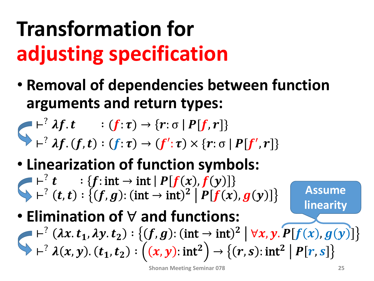# **Transformation for adjusting specification**

• **Removal of dependencies between function arguments and return types:**

$$
- \vdash^{?} \lambda f \cdot t \qquad : (f \cdot \tau) \to \{r : \sigma \mid P[f,r]\}
$$

$$
\vdash^? \lambda f \ (f,t): (f:\tau) \to (f':\tau) \times \{r:\sigma \mid P[f',r]\}
$$

- **Linearization of function symbols:**  $\vdash^? t$  : {f: int  $\rightarrow$  int | P[f(x), f(y)  $\vdash^? (t,t): \{(f,g): (\text{int} \to \text{int})^2 \mid P[f(x), g(y)]\}$
- **Elimination of** ∀ **and functions:**
- $\vdash^? (\lambda x. t_1, \lambda y. t_2) : \{(f, g): (\text{int} \to \text{int})^2 \mid \forall x, y. P[f(x), g(y)]\}$  $\vdash^? \lambda(x, y)$ .  $(t_1, t_2) : ((x, y) : \text{int}^2) \rightarrow \{(r, s) : \text{int}^2 | P[r, s] \}$

**Assume** 

**linearity**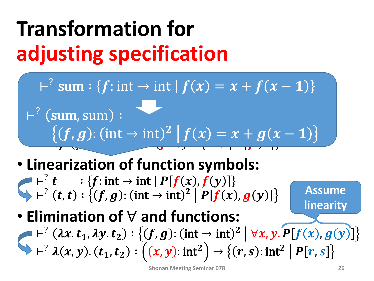## **Transformation for adjusting specification**

- $\left\{\n\begin{array}{l}\n\text{ } \vdash^? \text{ sum } : \{f: \text{int} \to \text{int} \mid f(x) = x + f(x-1)\}\n\end{array}\n\right\}$ 
	- **arguments and return types:**  $\frac{1}{2}$  .  $\frac{1}{2}$  .  $\frac{1}{2}$  .  $\frac{1}{2}$  .  $\frac{1}{2}$  .  $\frac{1}{2}$  .  $\frac{1}{2}$ ⊢  $\left(\bigcup_{i} \mathcal{G}_i, \bigcup_{i} \mathcal{G}_i\right)$ . (inc.  $\left(\bigcup_{i} \mathcal{G}_i, \bigcup_{i} \mathcal{G}_i\right)$  $\vdash^?$  (sum, sum) :  $f, g$ : (int  $\rightarrow$  int)<sup>2</sup>  $| f(x) = x + g(x - 1)|$
- **Linearization of function symbols:**  $\vdash^? t$  : {f: int  $\rightarrow$  int | P[f(x), f(y)  $\vdash^? (t,t) : \{(f,g): (\text{int} \to \text{int})^2 \mid P[f(x), g(y)]\}$ **Assume linearity**
- **Elimination of** ∀ **and functions:**
- $\vdash^? (\lambda x. t_1, \lambda y. t_2) : \{(f, g): (\text{int} \to \text{int})^2 \mid \forall x, y. P[f(x), g(y)]\}$  $\vdash^? \lambda(x, y)$ .  $(t_1, t_2) : ((x, y) : \text{int}^2) \rightarrow \{(r, s) : \text{int}^2 | P[r, s] \}$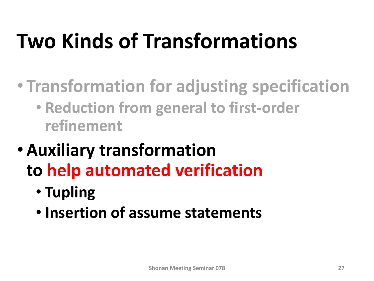# **Two Kinds of Transformations**

- **Transformation for adjusting specification**
	- **Reduction from general to first-order refinement**
- •**Auxiliary transformation to help automated verification**
	- **Tupling**
	- **Insertion of assume statements**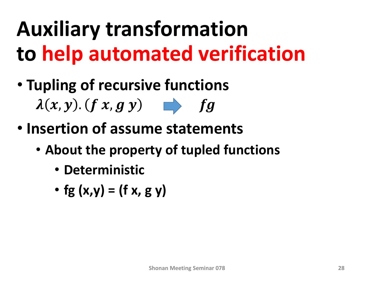# **Auxiliary transformation to help automated verification**

- **Tupling of recursive functions**  $\lambda(x, y)$  (f x, g y)  $\implies$  fg
- **Insertion of assume statements**
	- **About the property of tupled functions**
		- **Deterministic**
		- $fg(x,y) = (f(x, g(y)))$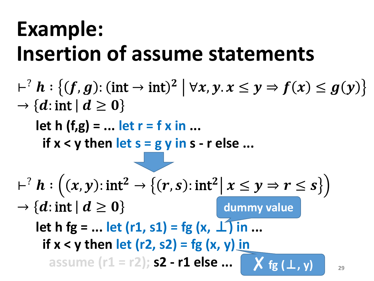#### **Example: Insertion of assume statements**

 $\vdash^? h : \{(f,g) : (\text{int} \to \text{int})^2 \mid \forall x, y, x \leq y \Rightarrow f(x) \leq g(y)\}$  $\rightarrow \{d : \text{int} \mid d \geq 0\}$ **let h (f,g) = ... let r = f x in ...** if  $x < y$  then let  $s = g y$  in  $s - r$  else ...  $\vdash^? h : \left( (x, y): \text{int}^2 \to \left\{ (r, s): \text{int}^2 \mid x \leq y \Rightarrow r \leq s \right\}$  $\rightarrow \{d : \text{int} \mid d \geq 0\}$ **let h fg** = ... **let (r1, s1)** = fg (x,  $\bot$ ) in ... **if x < y then let (r2, s2) = fg (x, y) in assume (r1 = r2); s2 - r1 else ...**  $\begin{bmatrix} X & fg & (l, v) \end{bmatrix}$ **dummy value ✘ fg (**⊥**, y)**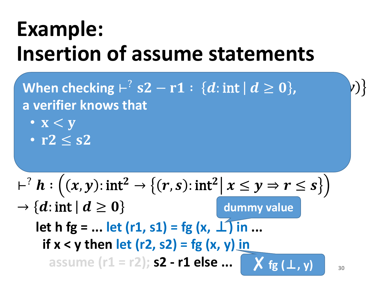#### **Example: Insertion of assume statements**

 $\boxed{\text{ When checking }\vdash^? \text{ s2 -- r1}: \, \{d: \text{int} \mid d \geq 0\},\qquad \qquad }$ a verifier knows that • **x** < **y** 

•  $r2 \le s2$ 

 $\vdash^? h : \left( (x, y): \text{int}^2 \to \left\{ (r, s): \text{int}^2 \mid x \leq y \Rightarrow r \leq s \right\}$  $\rightarrow \{d : \text{int} \mid d \geq 0\}$ **let h fg** = ... **let (r1, s1)** = fg (x,  $\bot$ ) in ... **if x < y then let (r2, s2) = fg (x, y) in assume (r1 = r2); s2 - r1 else ...**  $\begin{bmatrix} X & fg(I, y) \end{bmatrix}$  30 **dummy value ✘ fg (**⊥**, y)**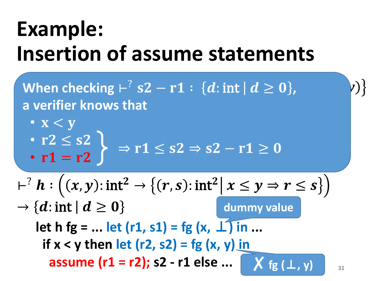#### **Example: Insertion of assume statements**

 $\boxed{\text{ When checking }\vdash^? \text{ s2 -- r1}: \, \{d: \text{int} \mid d \geq 0\},\qquad \qquad }$ a verifier knows that

$$
\begin{array}{c}\n\cdot x < y \\
\cdot r^2 \leq s^2 \\
\cdot r^1 = r^2\n\end{array}\n\right\} \Rightarrow r^1 \leq s^2 \Rightarrow s^2 - r^1 \geq 0
$$

 $\vdash^? h : \left( (x, y): \text{int}^2 \to \left\{ (r, s): \text{int}^2 \mid x \leq y \Rightarrow r \leq s \right\}$  $\rightarrow \{d : \text{int} \mid d \geq 0\}$ **let h fg** = ... **let (r1, s1)** = fg (x,  $\bot$ ) in ... **if x < y then let (r2, s2) = fg (x, y) in assume (r1 = r2); s2 - r1 else ...**  $\begin{bmatrix} X_{fg} (l_1, y) \end{bmatrix}$  31 **dummy value ✘ fg (**⊥**, y)**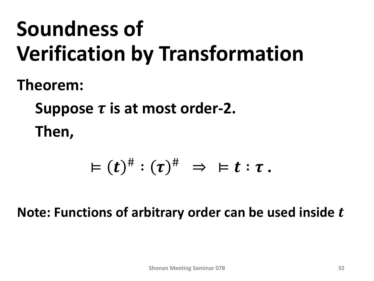# **Soundness of Verification by Transformation**

**Theorem:**

**Suppose**  $\tau$  **is at most order-2. Then,**

$$
\vDash (t)^{\#} : (\tau)^{\#} \Rightarrow \vDash t : \tau.
$$

**Note: Functions of arbitrary order can be used inside**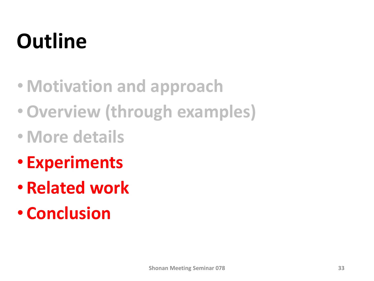# **Outline**

- **Motivation and approach**
- •**Overview (through examples)**
- **More details**
- **Experiments**
- **Related work**
- **Conclusion**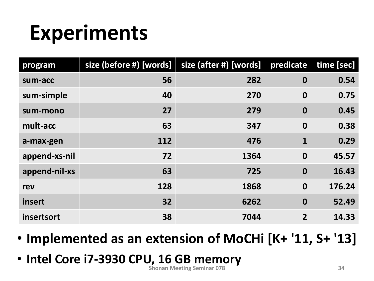#### **Experiments**

| program       | size (before #) [words] $ $ | size (after #) [words] | predicate        | time [sec] |
|---------------|-----------------------------|------------------------|------------------|------------|
| sum-acc       | 56                          | 282                    | $\boldsymbol{0}$ | 0.54       |
| sum-simple    | 40                          | 270                    | $\boldsymbol{0}$ | 0.75       |
| sum-mono      | 27                          | 279                    | $\boldsymbol{0}$ | 0.45       |
| mult-acc      | 63                          | 347                    | $\boldsymbol{0}$ | 0.38       |
| a-max-gen     | 112                         | 476                    | 1                | 0.29       |
| append-xs-nil | 72                          | 1364                   | $\boldsymbol{0}$ | 45.57      |
| append-nil-xs | 63                          | 725                    | $\boldsymbol{0}$ | 16.43      |
| rev           | 128                         | 1868                   | $\boldsymbol{0}$ | 176.24     |
| insert        | 32                          | 6262                   | $\boldsymbol{0}$ | 52.49      |
| insertsort    | 38                          | 7044                   | $\overline{2}$   | 14.33      |

- **Implemented as an extension of MoCHi [K+ '11, S+ '13]**
- **Intel Core i7-3930 CPU, 16 GB memory**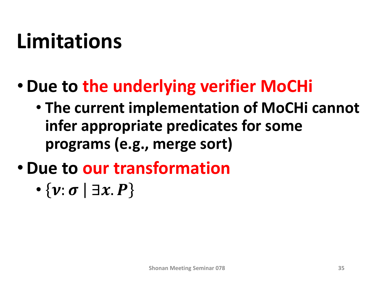## **Limitations**

- •**Due to the underlying verifier MoCHi**
	- **The current implementation of MoCHi cannot infer appropriate predicates for some programs (e.g., merge sort)**
- •**Due to our transformation**
	- $\bullet \{ \nu : \sigma \mid \exists x. P \}$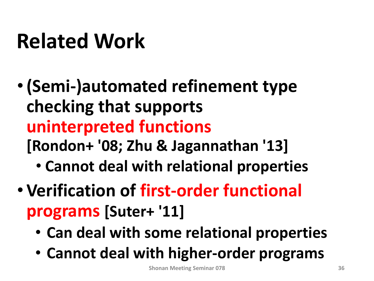## **Related Work**

- •**(Semi-)automated refinement type checking that supports uninterpreted functions [Rondon+ '08; Zhu & Jagannathan '13]**
	- **Cannot deal with relational properties**
- **Verification of first-order functional programs [Suter+ '11]**
	- **Can deal with some relational properties**
	- **Cannot deal with higher-order programs**